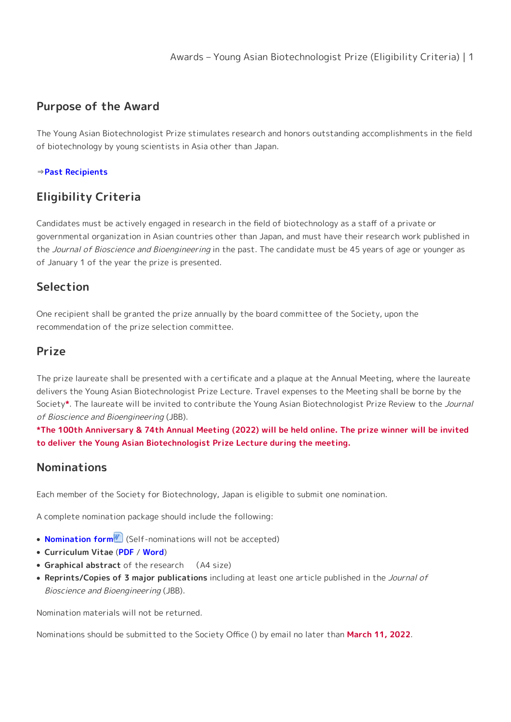# **Purpose of the Award**

The Young Asian Biotechnologist Prize stimulates research and honors outstanding accomplishments in the field of biotechnology by young scientists in Asia other than Japan.

#### ⇒**[Past Recipients](https://www.sbj.or.jp/e/about/about_awards_asian_recipients.html)**

# **Eligibility Criteria**

Candidates must be actively engaged in research in the field of biotechnology as a staff of a private or governmental organization in Asian countries other than Japan, and must have their research work published in the Journal of Bioscience and Bioengineering in the past. The candidate must be 45 years of age or younger as of January 1 of the year the prize is presented.

### **Selection**

One recipient shall be granted the prize annually by the board committee of the Society, upon the recommendation of the prize selection committee.

### **Prize**

The prize laureate shall be presented with a certificate and a plaque at the Annual Meeting, where the laureate delivers the Young Asian Biotechnologist Prize Lecture. Travel expenses to the Meeting shall be borne by the Society**\***. The laureate will be invited to contribute the Young Asian Biotechnologist Prize Review to the Journal of Bioscience and Bioengineering (JBB).

**\*The 100th Anniversary & 74th Annual Meeting (2022) will be held online. The prize winner will be invited to deliver the Young Asian Biotechnologist Prize Lecture during the meeting.**

### **Nominations**

Each member of the Society for Biotechnology, Japan is eligible to submit one nomination.

A complete nomination package should include the following:

- **[Nomination form](https://www.sbj.or.jp/wp-content/uploads/file/awards/asian_nomination.docx)** (Self-nominations will not be accepted)
- **Curriculum Vitae** (**[PDF](https://www.sbj.or.jp/wp-content/uploads/file/awards/asian_CV_form.pdf)** / **[Word](https://www.sbj.or.jp/wp-content/uploads/file/awards/asian_CV_form.docx)**)
- **Graphical abstract** of the research (A4 size)
- **Reprints/Copies of 3 major publications** including at least one article published in the Journal of Bioscience and Bioengineering (JBB).

Nomination materials will not be returned.

Nominations should be submitted to the Society Office () by email no later than **March 11, 2022**.